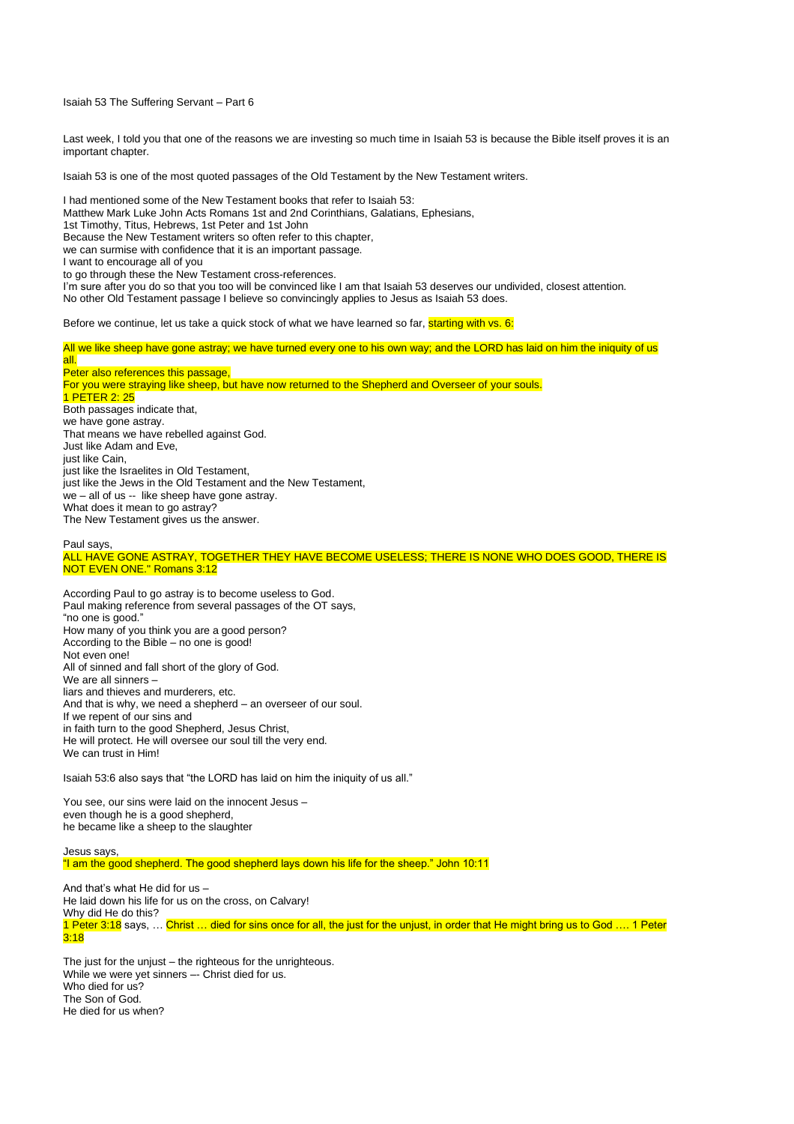Isaiah 53 The Suffering Servant – Part 6

Last week, I told you that one of the reasons we are investing so much time in Isaiah 53 is because the Bible itself proves it is an important chapter.

Isaiah 53 is one of the most quoted passages of the Old Testament by the New Testament writers.

I had mentioned some of the New Testament books that refer to Isaiah 53: Matthew Mark Luke John Acts Romans 1st and 2nd Corinthians, Galatians, Ephesians, 1st Timothy, Titus, Hebrews, 1st Peter and 1st John Because the New Testament writers so often refer to this chapter, we can surmise with confidence that it is an important passage. I want to encourage all of you to go through these the New Testament cross-references. I'm sure after you do so that you too will be convinced like I am that Isaiah 53 deserves our undivided, closest attention. No other Old Testament passage I believe so convincingly applies to Jesus as Isaiah 53 does. Before we continue, let us take a quick stock of what we have learned so far, starting with vs.  $6$ : All we like sheep have gone astray; we have turned every one to his own way; and the LORD has laid on him the iniquity of us

all. Peter also references this passage, For you were straying like sheep, but have now returned to the Shepherd and Overseer of your souls. 1 PETER 2: 25 Both passages indicate that, we have gone astray. That means we have rebelled against God. Just like Adam and Eve, just like Cain, just like the Israelites in Old Testament, just like the Jews in the Old Testament and the New Testament, we – all of us -- like sheep have gone astray. What does it mean to go astray? The New Testament gives us the answer.

Paul says, ALL HAVE GONE ASTRAY, TOGETHER THEY HAVE BECOME USELESS; THERE IS NONE WHO DOES GOOD, THERE IS NOT EVEN ONE." Romans 3:12

According Paul to go astray is to become useless to God. Paul making reference from several passages of the OT says, "no one is good." How many of you think you are a good person? According to the Bible – no one is good! Not even one! All of sinned and fall short of the glory of God. We are all sinners – liars and thieves and murderers, etc. And that is why, we need a shepherd – an overseer of our soul. If we repent of our sins and in faith turn to the good Shepherd, Jesus Christ, He will protect. He will oversee our soul till the very end. We can trust in Him!

Isaiah 53:6 also says that "the LORD has laid on him the iniquity of us all."

You see, our sins were laid on the innocent Jesus – even though he is a good shepherd, he became like a sheep to the slaughter

Jesus says, "I am the good shepherd. The good shepherd lays down his life for the sheep." John 10:11

And that's what He did for us – He laid down his life for us on the cross, on Calvary! Why did He do this? 1 Peter 3:18 says, … Christ … died for sins once for all, the just for the unjust, in order that He might bring us to God …. 1 Peter 3:18

The just for the unjust – the righteous for the unrighteous. While we were yet sinners -- Christ died for us. Who died for us? The Son of God. He died for us when?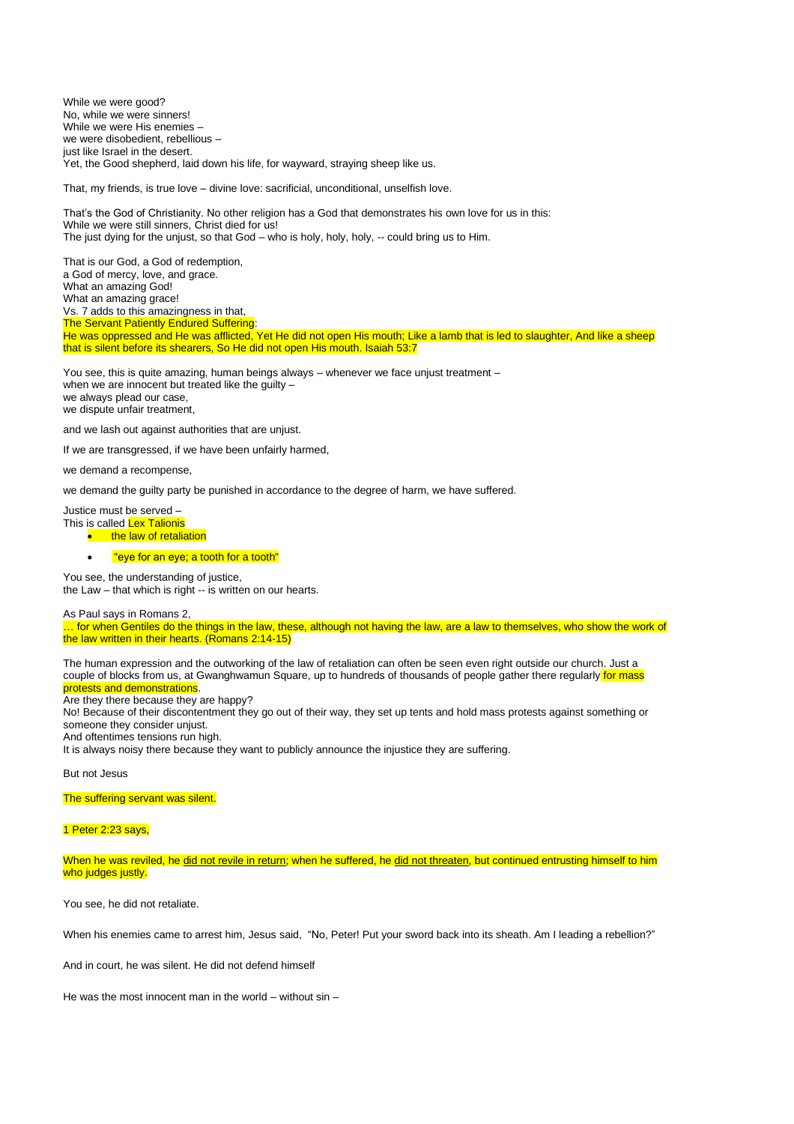While we were good? No, while we were sinners! While we were His enemies – we were disobedient, rebellious – just like Israel in the desert. Yet, the Good shepherd, laid down his life, for wayward, straying sheep like us.

That, my friends, is true love – divine love: sacrificial, unconditional, unselfish love.

That's the God of Christianity. No other religion has a God that demonstrates his own love for us in this: While we were still sinners, Christ died for us! The just dying for the unjust, so that God – who is holy, holy, holy, -- could bring us to Him.

That is our God, a God of redemption, a God of mercy, love, and grace. What an amazing God! What an amazing grace! Vs. 7 adds to this amazingness in that, The Servant Patiently Endured Suffering: He was oppressed and He was afflicted, Yet He did not open His mouth; Like a lamb that is led to slaughter, And like a sheep that is silent before its shearers, So He did not open His mouth. Isaiah 53:7

You see, this is quite amazing, human beings always – whenever we face unjust treatment – when we are innocent but treated like the guilty we always plead our case, we dispute unfair treatment,

and we lash out against authorities that are unjust.

If we are transgressed, if we have been unfairly harmed,

we demand a recompense,

we demand the guilty party be punished in accordance to the degree of harm, we have suffered.

Justice must be served – This is called **Lex Talionis** 

**the law of retaliation** 

• "eye for an eye; a tooth for a tooth"

You see, the understanding of justice,

the Law – that which is right -- is written on our hearts.

As Paul says in Romans 2,

… for when Gentiles do the things in the law, these, although not having the law, are a law to themselves, who show the work of the law written in their hearts. (Romans 2:14-15)

The human expression and the outworking of the law of retaliation can often be seen even right outside our church. Just a couple of blocks from us, at Gwanghwamun Square, up to hundreds of thousands of people gather there regularly for mass protests and demonstrations

Are they there because they are happy?

No! Because of their discontentment they go out of their way, they set up tents and hold mass protests against something or someone they consider unjust.

And oftentimes tensions run high.

It is always noisy there because they want to publicly announce the injustice they are suffering.

But not Jesus

The suffering servant was silent.

1 Peter 2:23 says,

When he was reviled, he did not revile in return; when he suffered, he did not threaten, but continued entrusting himself to him who judges justly.

You see, he did not retaliate.

When his enemies came to arrest him, Jesus said, "No, Peter! Put your sword back into its sheath. Am I leading a rebellion?"

And in court, he was silent. He did not defend himself

He was the most innocent man in the world – without sin –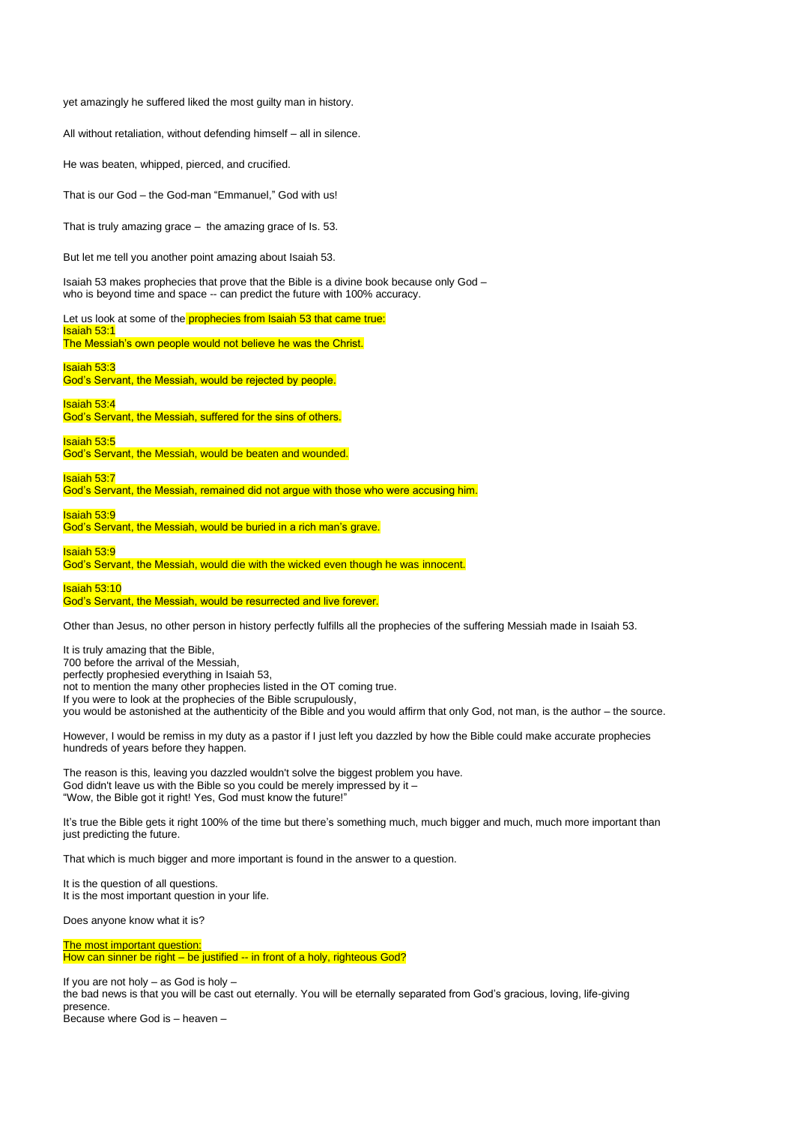yet amazingly he suffered liked the most guilty man in history.

All without retaliation, without defending himself – all in silence.

He was beaten, whipped, pierced, and crucified.

That is our God – the God-man "Emmanuel," God with us!

That is truly amazing grace – the amazing grace of Is. 53.

But let me tell you another point amazing about Isaiah 53.

Isaiah 53 makes prophecies that prove that the Bible is a divine book because only God – who is beyond time and space -- can predict the future with 100% accuracy.

Let us look at some of the prophecies from Isaiah 53 that came true: Isaiah 53:1

The Messiah's own people would not believe he was the Christ.

Isaiah 53:3

God's Servant, the Messiah, would be rejected by people.

Isaiah 53:4 God's Servant, the Messiah, suffered for the sins of others.

Isaiah 53:5

God's Servant, the Messiah, would be beaten and wounded.

Isaiah 53:7

God's Servant, the Messiah, remained did not argue with those who were accusing him.

Isaiah 53:9

God's Servant, the Messiah, would be buried in a rich man's grave.

Isaiah 53:9

God's Servant, the Messiah, would die with the wicked even though he was innocent.

Isaiah 53:10

## God's Servant, the Messiah, would be resurrected and live forever.

Other than Jesus, no other person in history perfectly fulfills all the prophecies of the suffering Messiah made in Isaiah 53.

It is truly amazing that the Bible, 700 before the arrival of the Messiah, perfectly prophesied everything in Isaiah 53, not to mention the many other prophecies listed in the OT coming true. If you were to look at the prophecies of the Bible scrupulously, you would be astonished at the authenticity of the Bible and you would affirm that only God, not man, is the author – the source.

However, I would be remiss in my duty as a pastor if I just left you dazzled by how the Bible could make accurate prophecies hundreds of years before they happen.

The reason is this, leaving you dazzled wouldn't solve the biggest problem you have. God didn't leave us with the Bible so you could be merely impressed by it – "Wow, the Bible got it right! Yes, God must know the future!"

It's true the Bible gets it right 100% of the time but there's something much, much bigger and much, much more important than just predicting the future.

That which is much bigger and more important is found in the answer to a question.

It is the question of all questions. It is the most important question in your life.

Does anyone know what it is?

The most important question: How can sinner be right – be justified -- in front of a holy, righteous God?

If you are not holy – as God is holy – the bad news is that you will be cast out eternally. You will be eternally separated from God's gracious, loving, life-giving presence. Because where God is – heaven –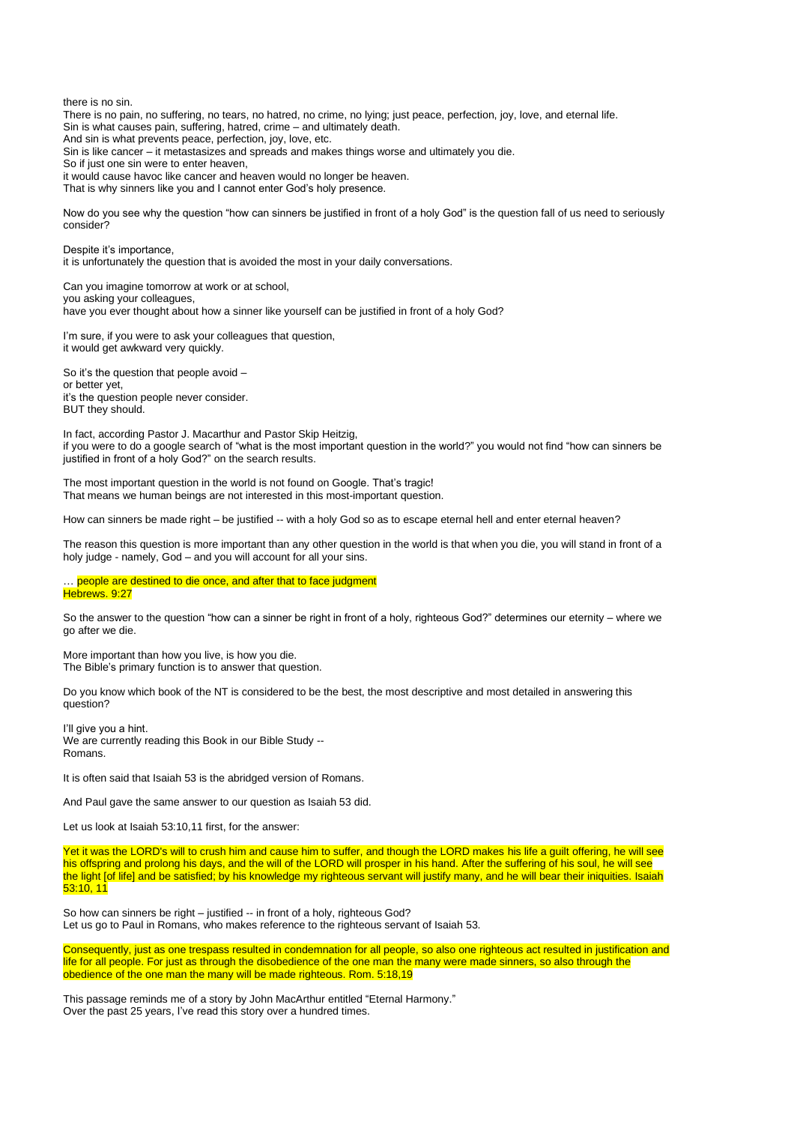there is no sin.

There is no pain, no suffering, no tears, no hatred, no crime, no lying; just peace, perfection, joy, love, and eternal life. Sin is what causes pain, suffering, hatred, crime – and ultimately death.

And sin is what prevents peace, perfection, joy, love, etc.

Sin is like cancer – it metastasizes and spreads and makes things worse and ultimately you die.

So if just one sin were to enter heaven,

it would cause havoc like cancer and heaven would no longer be heaven.

That is why sinners like you and I cannot enter God's holy presence.

Now do you see why the question "how can sinners be justified in front of a holy God" is the question fall of us need to seriously consider?

Despite it's importance, it is unfortunately the question that is avoided the most in your daily conversations.

Can you imagine tomorrow at work or at school, you asking your colleagues, have you ever thought about how a sinner like yourself can be justified in front of a holy God?

I'm sure, if you were to ask your colleagues that question, it would get awkward very quickly.

So it's the question that people avoid – or better yet, it's the question people never consider. BUT they should.

In fact, according Pastor J. Macarthur and Pastor Skip Heitzig, if you were to do a google search of "what is the most important question in the world?" you would not find "how can sinners be justified in front of a holy God?" on the search results.

The most important question in the world is not found on Google. That's tragic! That means we human beings are not interested in this most-important question.

How can sinners be made right – be justified -- with a holy God so as to escape eternal hell and enter eternal heaven?

The reason this question is more important than any other question in the world is that when you die, you will stand in front of a holy judge - namely, God – and you will account for all your sins.

## … people are destined to die once, and after that to face judgment Hebrews. 9:27

So the answer to the question "how can a sinner be right in front of a holy, righteous God?" determines our eternity – where we go after we die.

More important than how you live, is how you die. The Bible's primary function is to answer that question.

Do you know which book of the NT is considered to be the best, the most descriptive and most detailed in answering this question?

I'll give you a hint. We are currently reading this Book in our Bible Study --Romans.

It is often said that Isaiah 53 is the abridged version of Romans.

And Paul gave the same answer to our question as Isaiah 53 did.

Let us look at Isaiah 53:10,11 first, for the answer:

Yet it was the LORD's will to crush him and cause him to suffer, and though the LORD makes his life a guilt offering, he will see his offspring and prolong his days, and the will of the LORD will prosper in his hand. After the suffering of his soul, he will see the light [of life] and be satisfied; by his knowledge my righteous servant will justify many, and he will bear their iniquities. Isaiah  $53:10, 11$ 

So how can sinners be right – justified -- in front of a holy, righteous God? Let us go to Paul in Romans, who makes reference to the righteous servant of Isaiah 53.

Consequently, just as one trespass resulted in condemnation for all people, so also one righteous act resulted in justification and life for all people. For just as through the disobedience of the one man the many were made sinners, so also through the obedience of the one man the many will be made righteous. Rom. 5:18,19

This passage reminds me of a story by John MacArthur entitled "Eternal Harmony." Over the past 25 years, I've read this story over a hundred times.